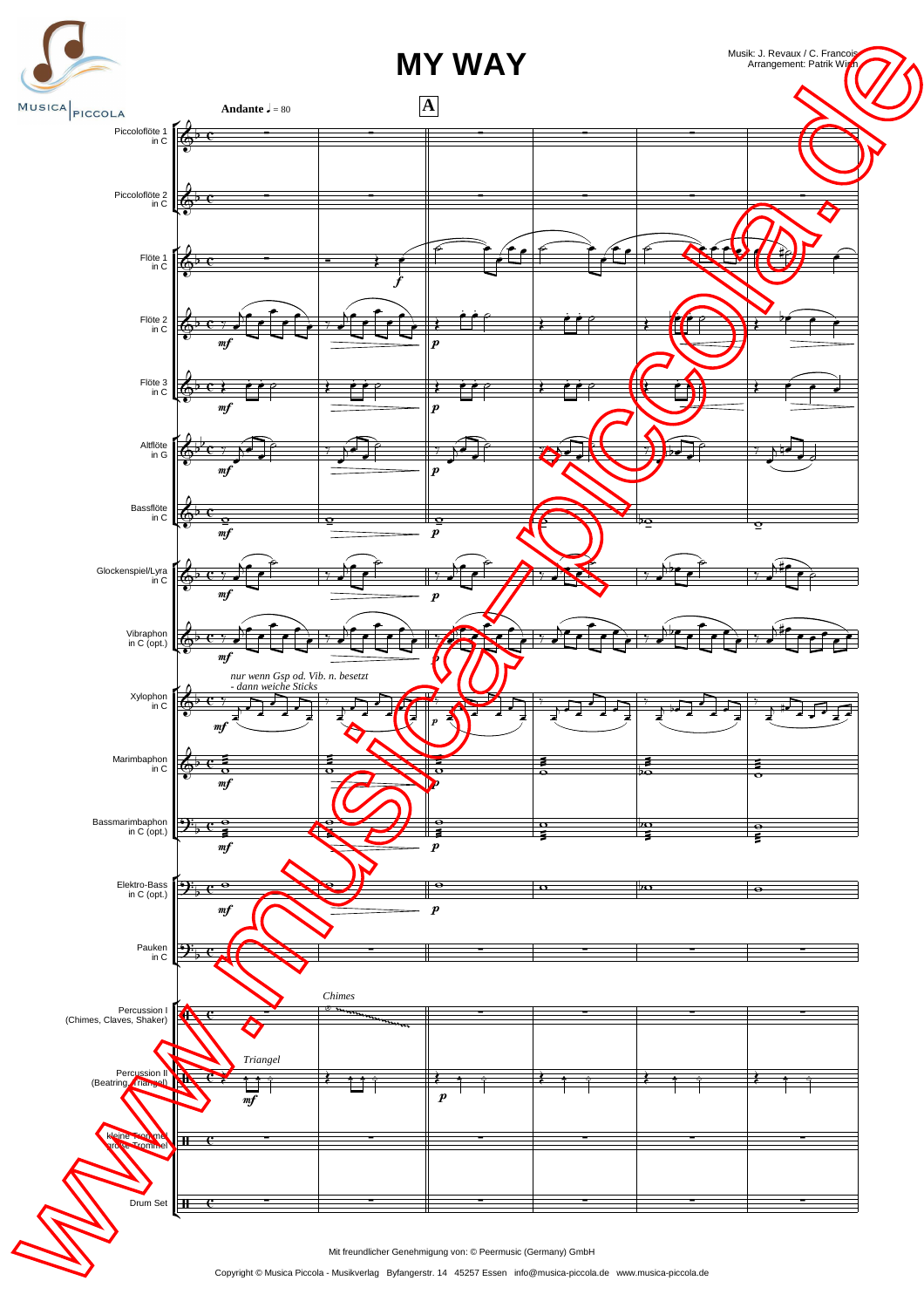

Copyright © Musica Piccola - Musikverlag Byfangerstr. 14 45257 Essen info@musica-piccola.de www.musica-piccola.de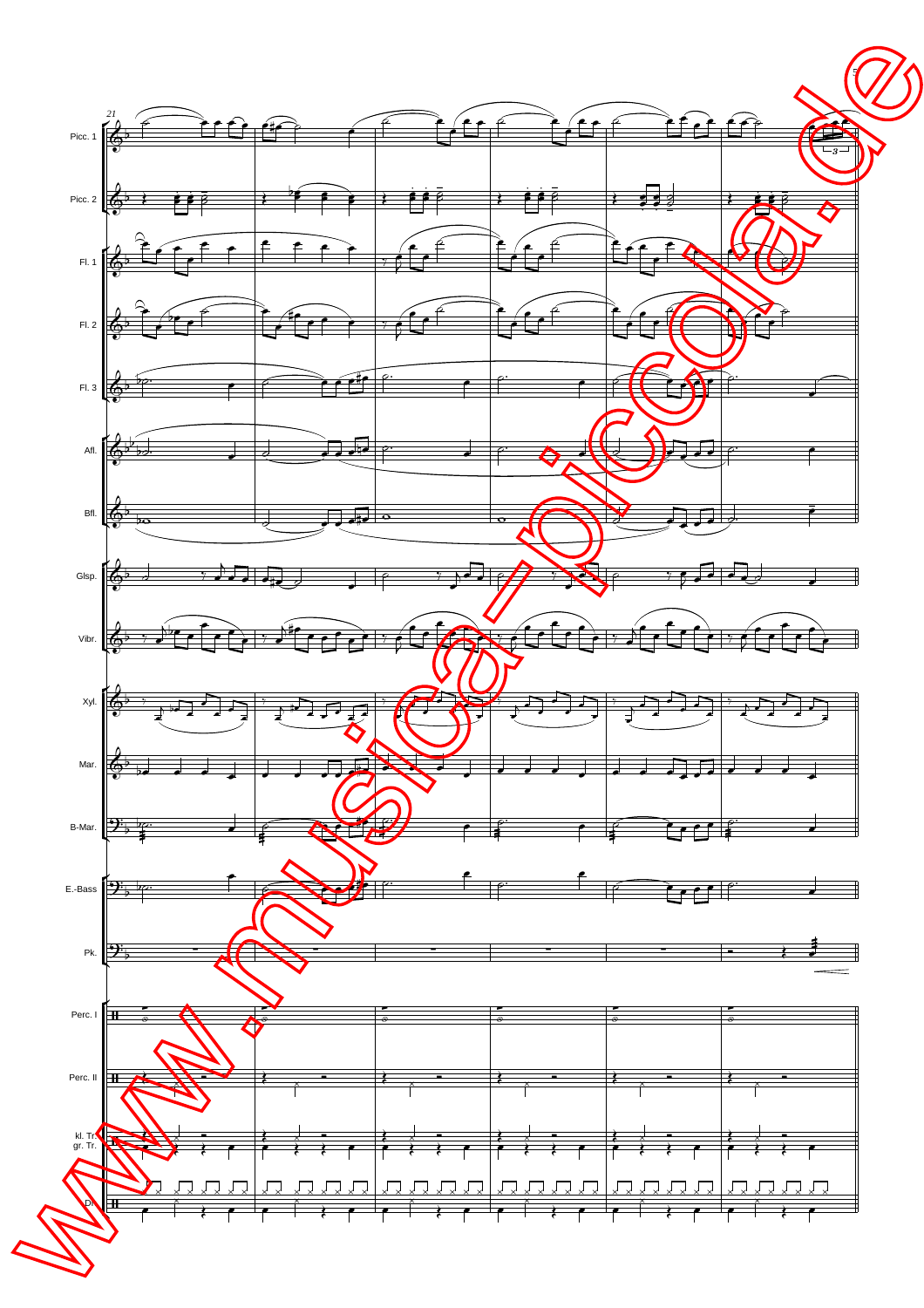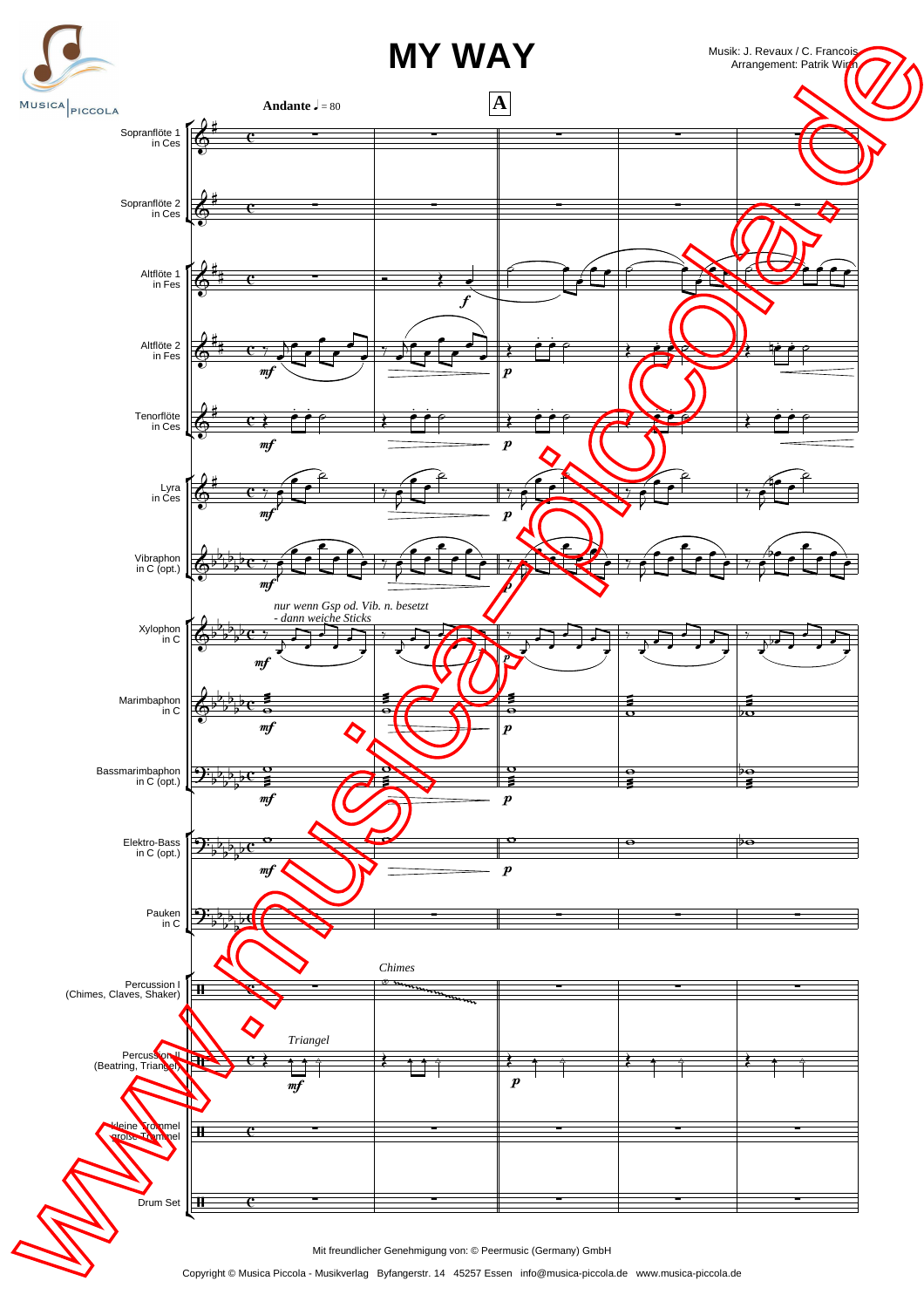

Copyright © Musica Piccola - Musikverlag Byfangerstr. 14 45257 Essen info@musica-piccola.de www.musica-piccola.de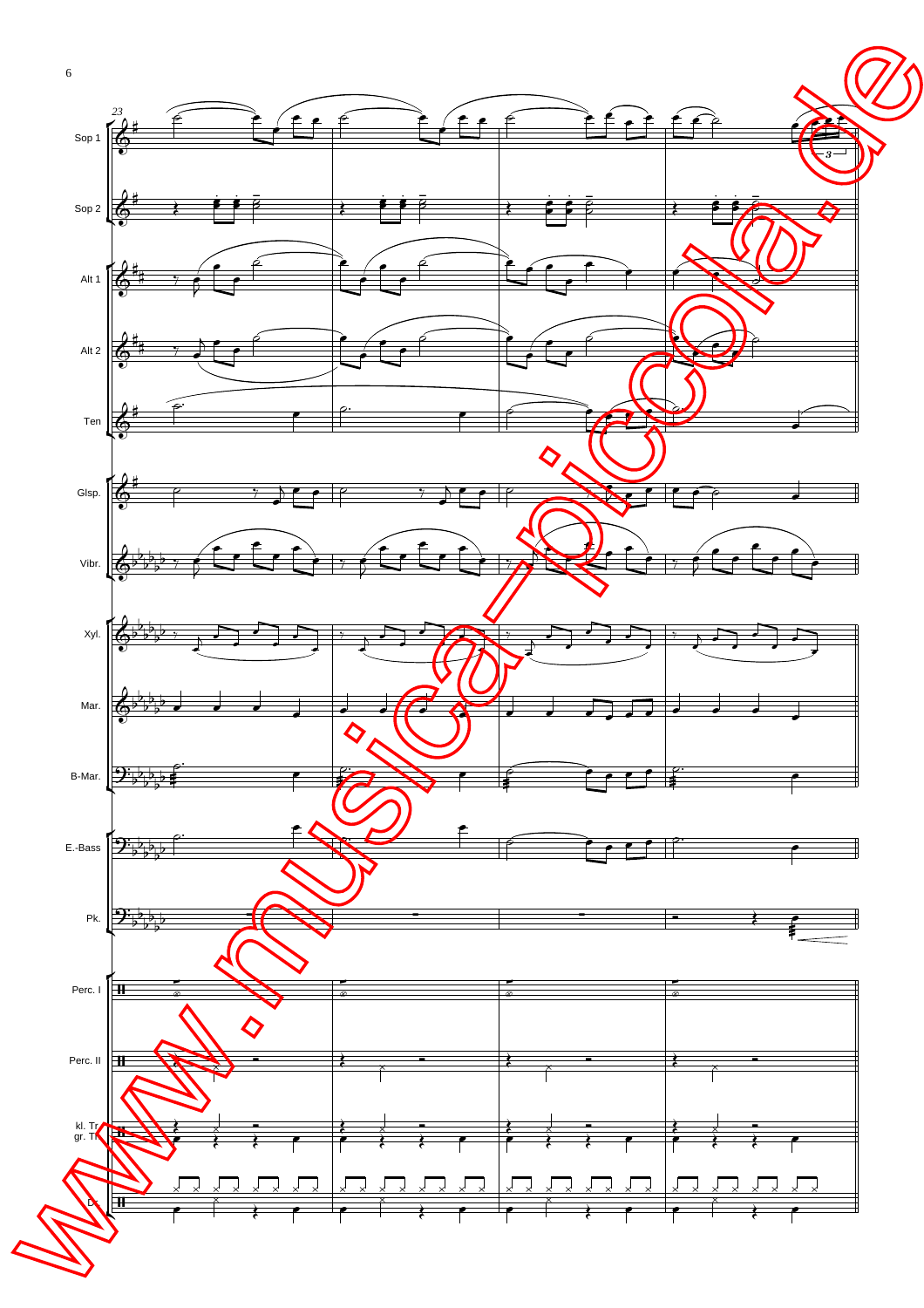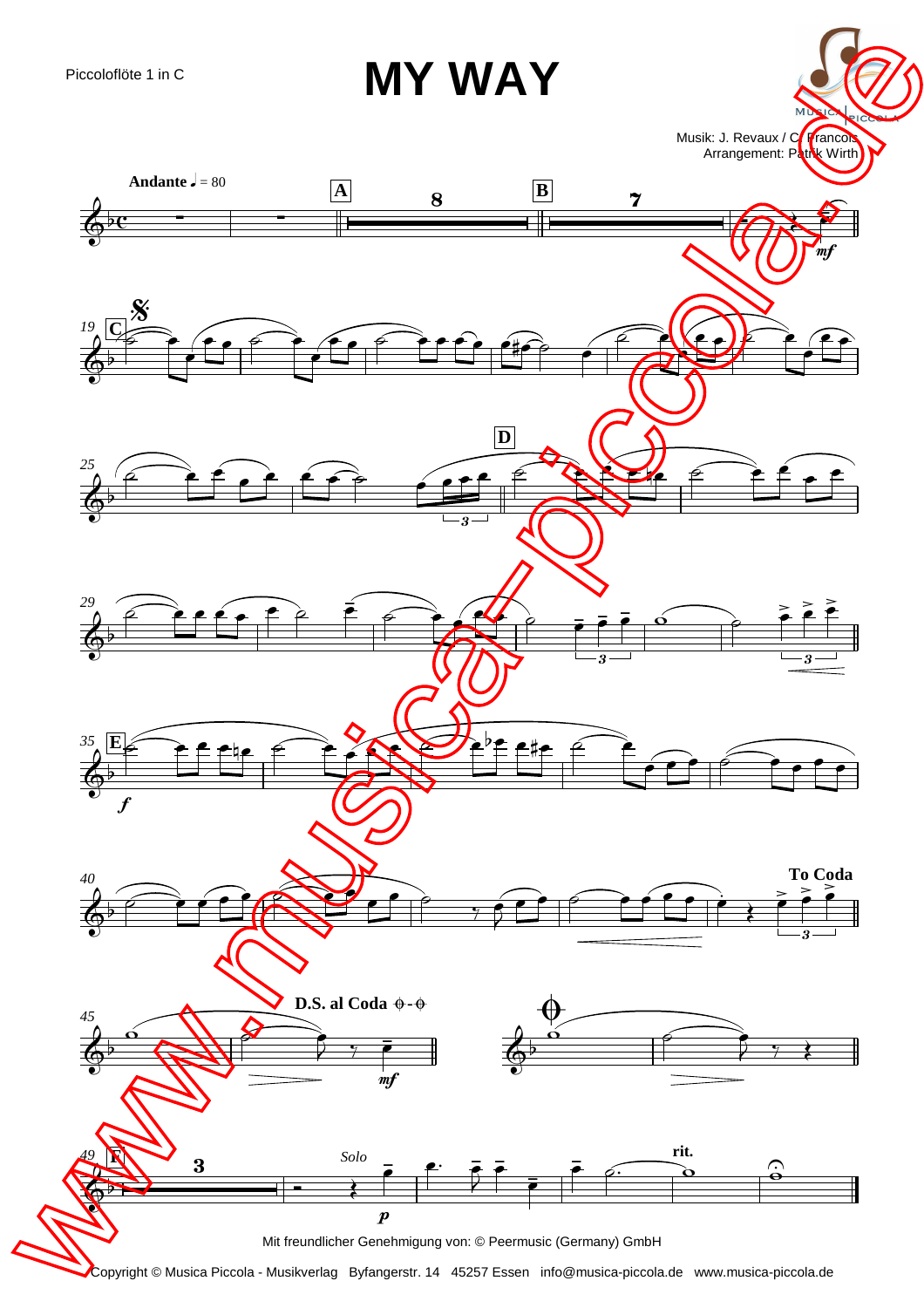Piccoloflöte 1 in C